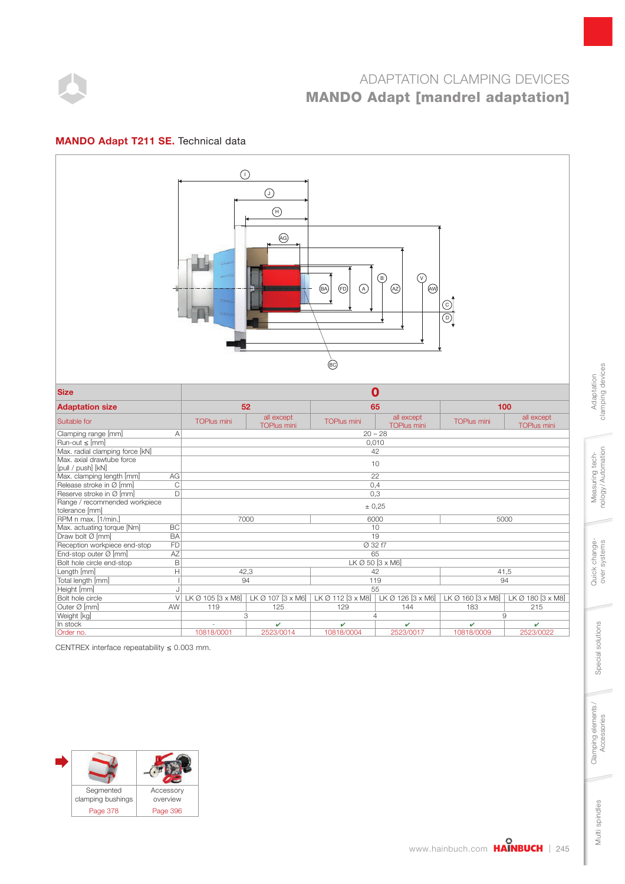

#### MANDO Adapt T211 SE. Technical data



CENTREX interface repeatability  $\leq 0.003$  mm.



clamping devices clamping devices Adaptation Adaptation

Multi spindles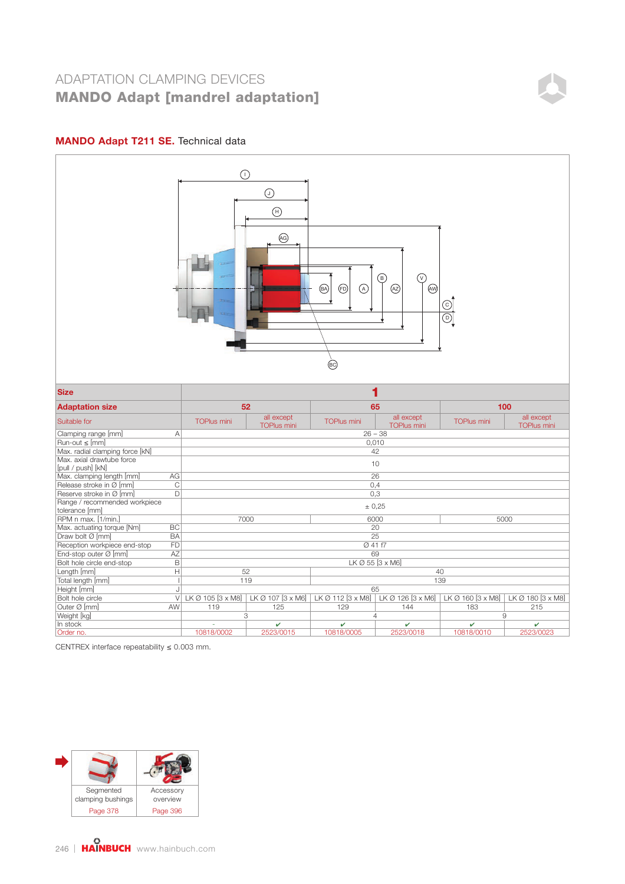#### MANDO Adapt T211 SE. Technical data



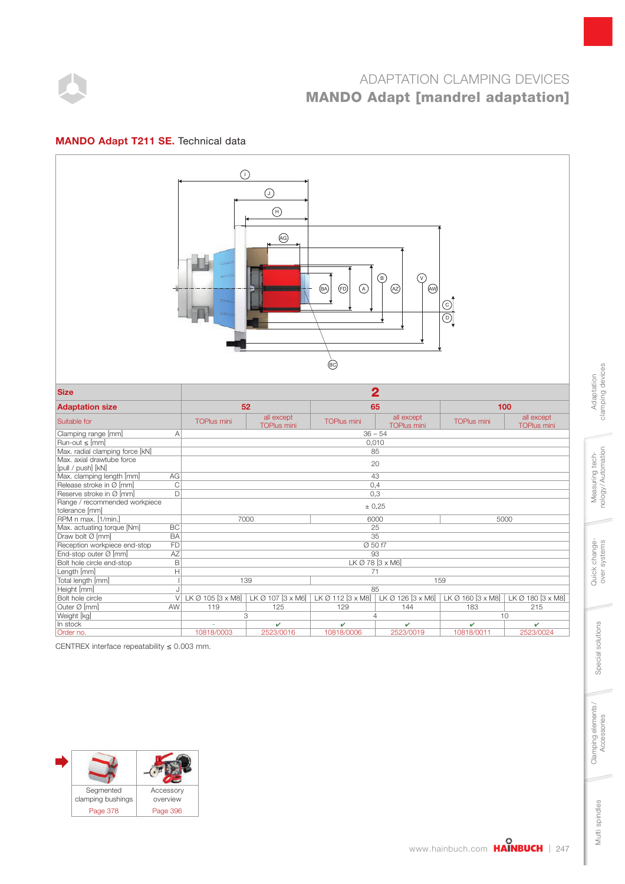

#### MANDO Adapt T211 SE. Technical data



CENTREX interface repeatability  $\leq 0.003$  mm.



clamping devices clamping devices Adaptation Adaptation

Multi spindles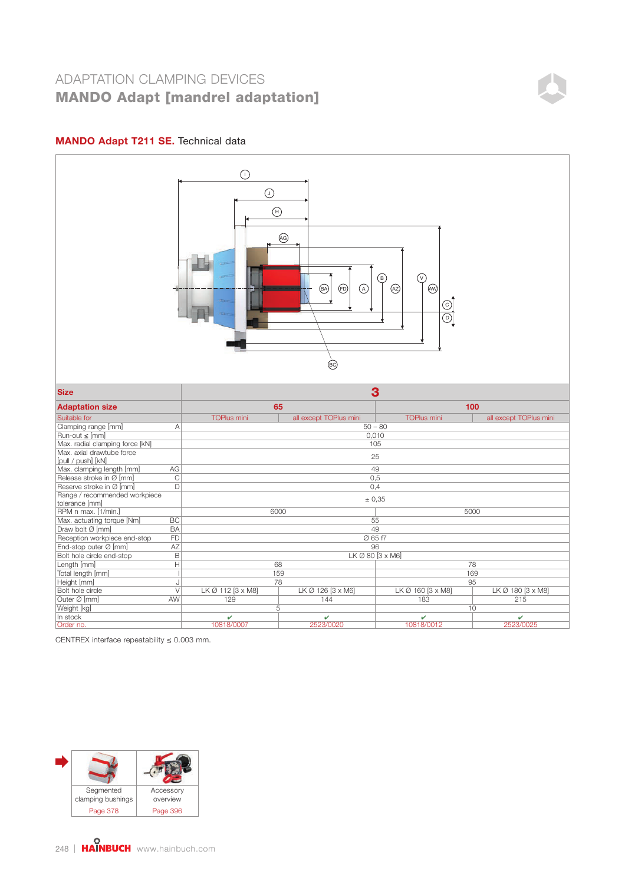### MANDO Adapt T211 SE. Technical data



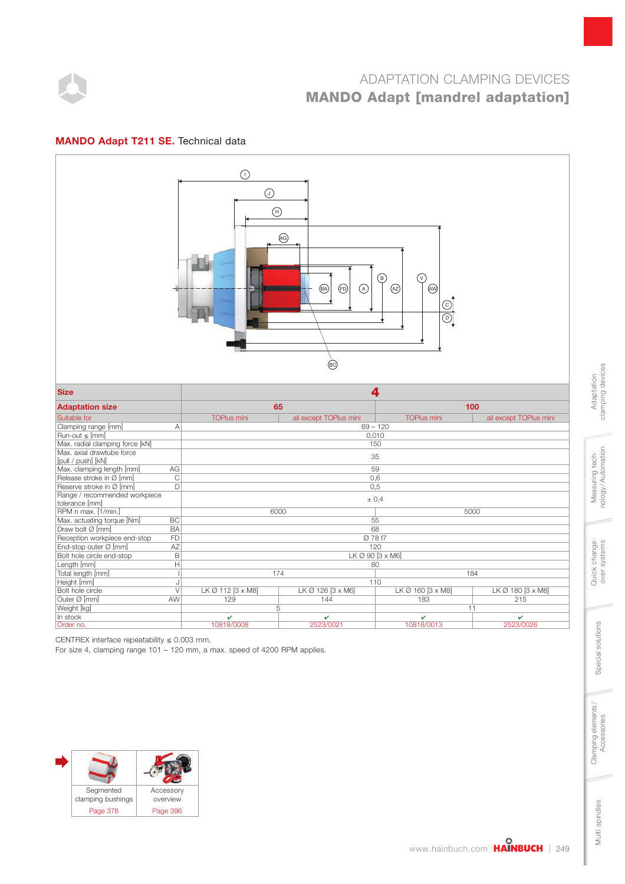

#### MANDO Adapt T211 SE. Technical data



CENTREX interface repeatability  $\leq 0.003$  mm.

For size 4, clamping range 101 – 120 mm, a max. speed of 4200 RPM applies.



clamping devices clamping devices Adaptation Adaptation

Multi spindles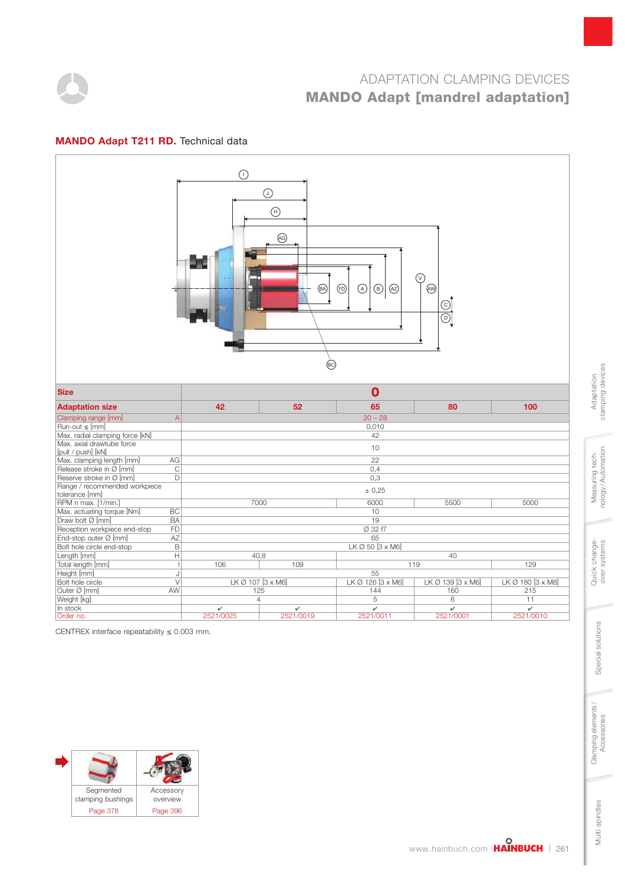

#### MANDO Adapt T211 RD. Technical data



CENTREX interface repeatability  $\leq 0.003$  mm.



clamping devices clamping devices Adaptation Adaptation

Multi spindles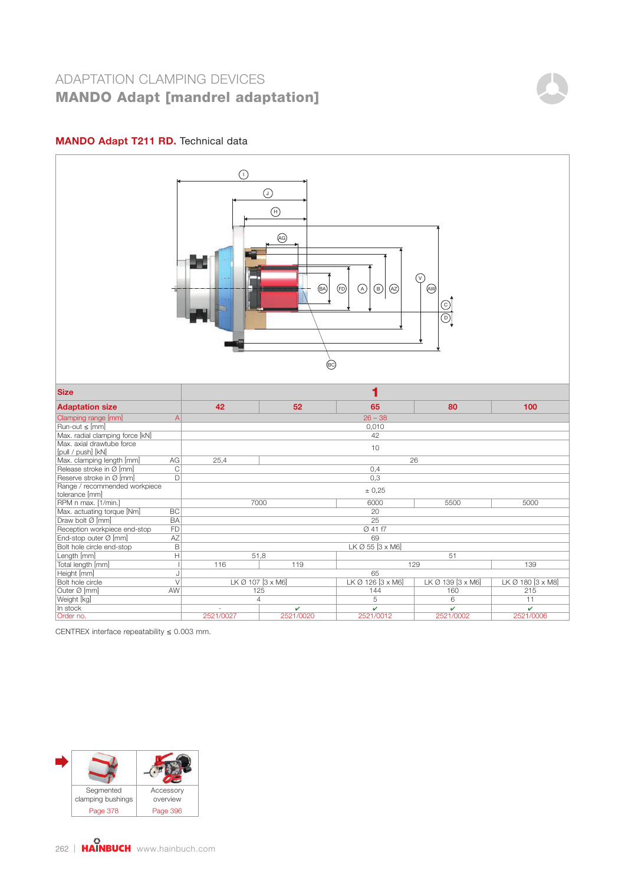### MANDO Adapt T211 RD. Technical data



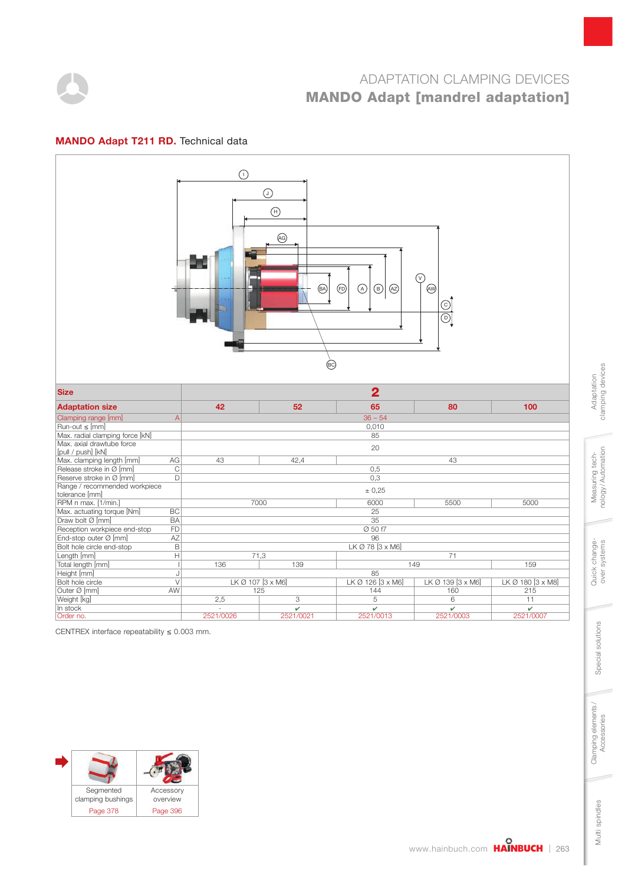

#### MANDO Adapt T211 RD. Technical data



CENTREX interface repeatability  $\leq 0.003$  mm.



clamping devices clamping devices Adaptation Adaptation

Multi spindles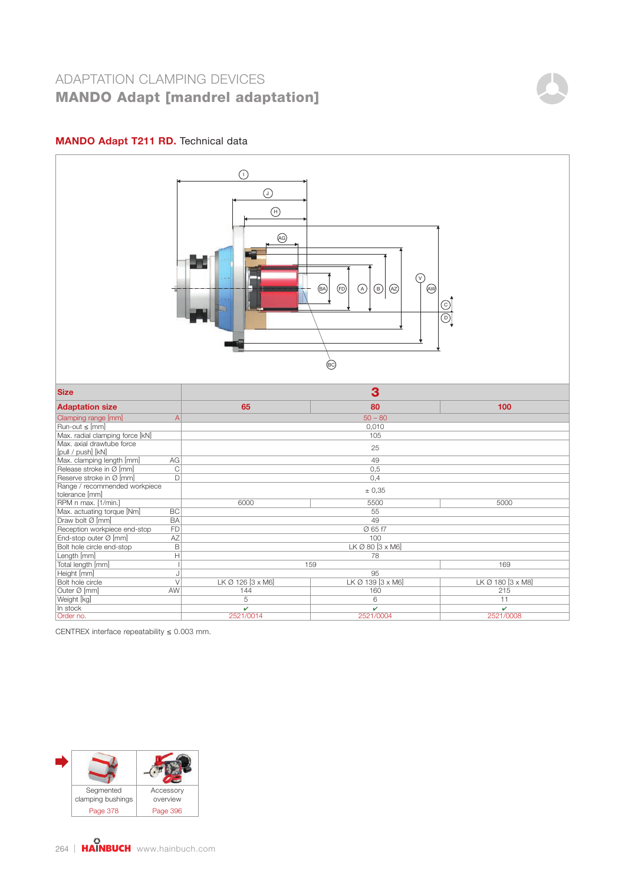### MANDO Adapt T211 RD. Technical data